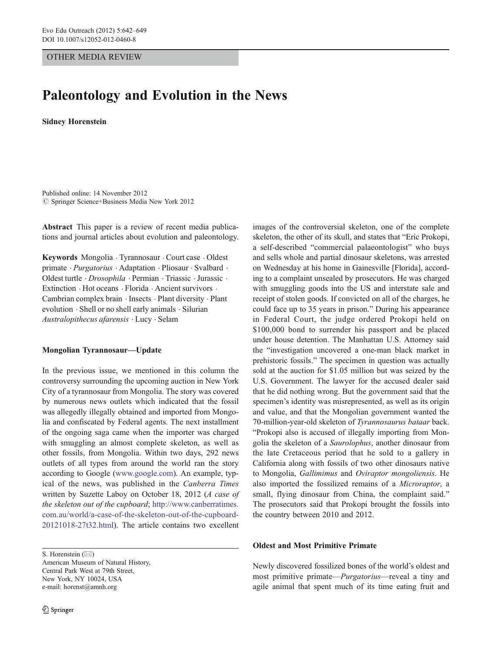## OTHER MEDIA REVIEW

# Paleontology and Evolution in the News

Sidney Horenstein

Published online: 14 November 2012  $\circledcirc$  Springer Science+Business Media New York 2012

Abstract This paper is a review of recent media publications and journal articles about evolution and paleontology.

Keywords Mongolia . Tyrannosaur . Court case . Oldest primate . Purgatorius . Adaptation . Pliosaur . Svalbard . Oldest turtle . Drosophila . Permian . Triassic .Jurassic . Extinction . Hot oceans . Florida . Ancient survivors . Cambrian complex brain . Insects . Plant diversity . Plant evolution . Shell or no shell early animals . Silurian Australopithecus afarensis . Lucy . Selam

## Mongolian Tyrannosaur—Update

In the previous issue, we mentioned in this column the controversy surrounding the upcoming auction in New York City of a tyrannosaur from Mongolia. The story was covered by numerous news outlets which indicated that the fossil was allegedly illegally obtained and imported from Mongolia and confiscated by Federal agents. The next installment of the ongoing saga came when the importer was charged with smuggling an almost complete skeleton, as well as other fossils, from Mongolia. Within two days, 292 news outlets of all types from around the world ran the story according to Google ([www.google.com\)](http://www.google.com). An example, typical of the news, was published in the Canberra Times written by Suzette Laboy on October 18, 2012 (A case of the skeleton out of the cupboard; [http://www.canberratimes.](http://www.canberratimes.com.au/world/a-case-of-the-skeleton-out-of-the-cupboard-20121018-27t32.html) [com.au/world/a-case-of-the-skeleton-out-of-the-cupboard-](http://www.canberratimes.com.au/world/a-case-of-the-skeleton-out-of-the-cupboard-20121018-27t32.html)[20121018-27t32.html\)](http://www.canberratimes.com.au/world/a-case-of-the-skeleton-out-of-the-cupboard-20121018-27t32.html). The article contains two excellent

images of the controversial skeleton, one of the complete skeleton, the other of its skull, and states that "Eric Prokopi, a self-described "commercial palaeontologist" who buys and sells whole and partial dinosaur skeletons, was arrested on Wednesday at his home in Gainesville [Florida], according to a complaint unsealed by prosecutors. He was charged with smuggling goods into the US and interstate sale and receipt of stolen goods. If convicted on all of the charges, he could face up to 35 years in prison." During his appearance in Federal Court, the judge ordered Prokopi held on \$100,000 bond to surrender his passport and be placed under house detention. The Manhattan U.S. Attorney said the "investigation uncovered a one-man black market in prehistoric fossils." The specimen in question was actually sold at the auction for \$1.05 million but was seized by the U.S. Government. The lawyer for the accused dealer said that he did nothing wrong. But the government said that the specimen's identity was misrepresented, as well as its origin and value, and that the Mongolian government wanted the 70-million-year-old skeleton of Tyrannosaurus bataar back. "Prokopi also is accused of illegally importing from Mongolia the skeleton of a Saurolophus, another dinosaur from the late Cretaceous period that he sold to a gallery in California along with fossils of two other dinosaurs native to Mongolia, Gallimimus and Oviraptor mongoliensis. He also imported the fossilized remains of a Microraptor, a small, flying dinosaur from China, the complaint said." The prosecutors said that Prokopi brought the fossils into the country between 2010 and 2012.

#### Oldest and Most Primitive Primate

Newly discovered fossilized bones of the world's oldest and most primitive primate—Purgatorius—reveal a tiny and agile animal that spent much of its time eating fruit and

S. Horenstein  $(\boxtimes)$ American Museum of Natural History, Central Park West at 79th Street, New York, NY 10024, USA e-mail: horenst@amnh.org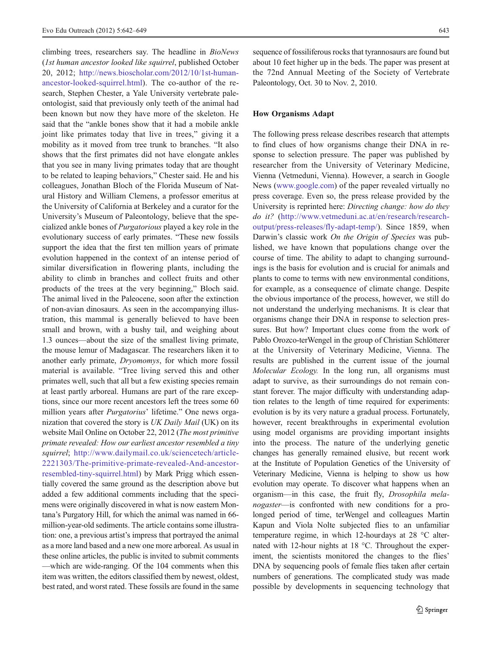climbing trees, researchers say. The headline in BioNews (1st human ancestor looked like squirrel, published October 20, 2012; [http://news.bioscholar.com/2012/10/1st-human](http://news.bioscholar.com/2012/10/1st-human-ancestor-looked-squirrel.html)[ancestor-looked-squirrel.html\)](http://news.bioscholar.com/2012/10/1st-human-ancestor-looked-squirrel.html). The co-author of the research, Stephen Chester, a Yale University vertebrate paleontologist, said that previously only teeth of the animal had been known but now they have more of the skeleton. He said that the "ankle bones show that it had a mobile ankle joint like primates today that live in trees," giving it a mobility as it moved from tree trunk to branches. "It also shows that the first primates did not have elongate ankles that you see in many living primates today that are thought to be related to leaping behaviors," Chester said. He and his colleagues, Jonathan Bloch of the Florida Museum of Natural History and William Clemens, a professor emeritus at the University of California at Berkeley and a curator for the University's Museum of Paleontology, believe that the specialized ankle bones of Purgatorious played a key role in the evolutionary success of early primates. "These new fossils support the idea that the first ten million years of primate evolution happened in the context of an intense period of similar diversification in flowering plants, including the ability to climb in branches and collect fruits and other products of the trees at the very beginning," Bloch said. The animal lived in the Paleocene, soon after the extinction of non-avian dinosaurs. As seen in the accompanying illustration, this mammal is generally believed to have been small and brown, with a bushy tail, and weighing about 1.3 ounces—about the size of the smallest living primate, the mouse lemur of Madagascar. The researchers liken it to another early primate, Dryomomys, for which more fossil material is available. "Tree living served this and other primates well, such that all but a few existing species remain at least partly arboreal. Humans are part of the rare exceptions, since our more recent ancestors left the trees some 60 million years after Purgatorius' lifetime." One news organization that covered the story is UK Daily Mail (UK) on its website Mail Online on October 22, 2012 (The most primitive primate revealed: How our earliest ancestor resembled a tiny squirrel; [http://www.dailymail.co.uk/sciencetech/article-](http://www.dailymail.co.uk/sciencetech/article-2221303/The-primitive-primate-revealed-And-ancestor-resembled-tiny-squirrel.html)[2221303/The-primitive-primate-revealed-And-ancestor](http://www.dailymail.co.uk/sciencetech/article-2221303/The-primitive-primate-revealed-And-ancestor-resembled-tiny-squirrel.html)[resembled-tiny-squirrel.html\)](http://www.dailymail.co.uk/sciencetech/article-2221303/The-primitive-primate-revealed-And-ancestor-resembled-tiny-squirrel.html) by Mark Prigg which essentially covered the same ground as the description above but added a few additional comments including that the specimens were originally discovered in what is now eastern Montana's Purgatory Hill, for which the animal was named in 66 million-year-old sediments. The article contains some illustration: one, a previous artist's impress that portrayed the animal as a more land based and a new one more arboreal. As usual in these online articles, the public is invited to submit comments —which are wide-ranging. Of the 104 comments when this item was written, the editors classified them by newest, oldest, best rated, and worst rated. These fossils are found in the same

sequence of fossiliferous rocks that tyrannosaurs are found but about 10 feet higher up in the beds. The paper was present at the 72nd Annual Meeting of the Society of Vertebrate Paleontology, Oct. 30 to Nov. 2, 2010.

#### How Organisms Adapt

The following press release describes research that attempts to find clues of how organisms change their DNA in response to selection pressure. The paper was published by researcher from the University of Veterinary Medicine, Vienna (Vetmeduni, Vienna). However, a search in Google News ([www.google.com\)](http://www.google.com) of the paper revealed virtually no press coverage. Even so, the press release provided by the University is reprinted here: Directing change: how do they do it? ([http://www.vetmeduni.ac.at/en/research/research](http://www.vetmeduni.ac.at/en/research/research-output/press-releases/fly-adapt-temp/)[output/press-releases/fly-adapt-temp/](http://www.vetmeduni.ac.at/en/research/research-output/press-releases/fly-adapt-temp/)). Since 1859, when Darwin's classic work On the Origin of Species was published, we have known that populations change over the course of time. The ability to adapt to changing surroundings is the basis for evolution and is crucial for animals and plants to come to terms with new environmental conditions, for example, as a consequence of climate change. Despite the obvious importance of the process, however, we still do not understand the underlying mechanisms. It is clear that organisms change their DNA in response to selection pressures. But how? Important clues come from the work of Pablo Orozco-terWengel in the group of Christian Schlötterer at the University of Veterinary Medicine, Vienna. The results are published in the current issue of the journal Molecular Ecology. In the long run, all organisms must adapt to survive, as their surroundings do not remain constant forever. The major difficulty with understanding adaption relates to the length of time required for experiments: evolution is by its very nature a gradual process. Fortunately, however, recent breakthroughs in experimental evolution using model organisms are providing important insights into the process. The nature of the underlying genetic changes has generally remained elusive, but recent work at the Institute of Population Genetics of the University of Veterinary Medicine, Vienna is helping to show us how evolution may operate. To discover what happens when an organism—in this case, the fruit fly, Drosophila melanogaster—is confronted with new conditions for a prolonged period of time, terWengel and colleagues Martin Kapun and Viola Nolte subjected flies to an unfamiliar temperature regime, in which 12-hourdays at 28 °C alternated with 12-hour nights at 18 °C. Throughout the experiment, the scientists monitored the changes to the flies' DNA by sequencing pools of female flies taken after certain numbers of generations. The complicated study was made possible by developments in sequencing technology that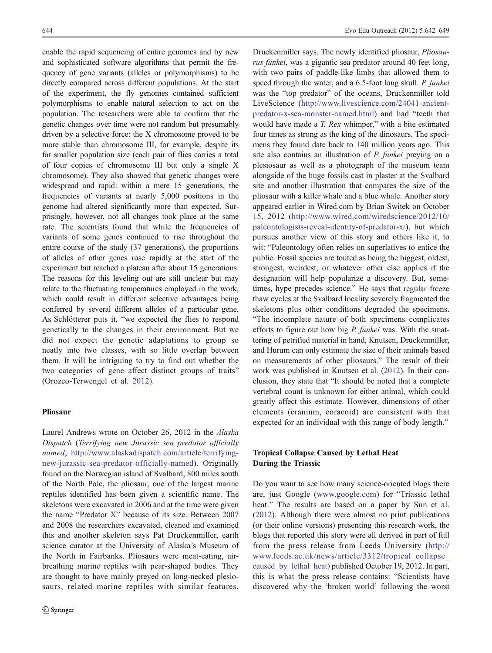enable the rapid sequencing of entire genomes and by new and sophisticated software algorithms that permit the frequency of gene variants (alleles or polymorphisms) to be directly compared across different populations. At the start of the experiment, the fly genomes contained sufficient polymorphisms to enable natural selection to act on the population. The researchers were able to confirm that the genetic changes over time were not random but presumably driven by a selective force: the X chromosome proved to be more stable than chromosome III, for example, despite its far smaller population size (each pair of flies carries a total of four copies of chromosome III but only a single X chromosome). They also showed that genetic changes were widespread and rapid: within a mere 15 generations, the frequencies of variants at nearly 5,000 positions in the genome had altered significantly more than expected. Surprisingly, however, not all changes took place at the same rate. The scientists found that while the frequencies of variants of some genes continued to rise throughout the entire course of the study (37 generations), the proportions of alleles of other genes rose rapidly at the start of the experiment but reached a plateau after about 15 generations. The reasons for this leveling out are still unclear but may relate to the fluctuating temperatures employed in the work, which could result in different selective advantages being conferred by several different alleles of a particular gene. As Schlötterer puts it, "we expected the flies to respond genetically to the changes in their environment. But we did not expect the genetic adaptations to group so neatly into two classes, with so little overlap between them. It will be intriguing to try to find out whether the two categories of gene affect distinct groups of traits" (Orozco-Terwengel et al. [2012\)](#page-7-0).

## Pliosaur

Laurel Andrews wrote on October 26, 2012 in the Alaska Dispatch (Terrifying new Jurassic sea predator officially named; [http://www.alaskadispatch.com/article/terrifying](http://www.alaskadispatch.com/article/terrifying-new-jurassic-sea-predator-officially-named)[new-jurassic-sea-predator-officially-named\)](http://www.alaskadispatch.com/article/terrifying-new-jurassic-sea-predator-officially-named). Originally found on the Norwegian island of Svalbard, 800 miles south of the North Pole, the pliosaur, one of the largest marine reptiles identified has been given a scientific name. The skeletons were excavated in 2006 and at the time were given the name "Predator X" because of its size. Between 2007 and 2008 the researchers excavated, cleaned and examined this and another skeleton says Pat Druckenmiller, earth science curator at the University of Alaska's Museum of the North in Fairbanks. Pliosaurs were meat-eating, airbreathing marine reptiles with pear-shaped bodies. They are thought to have mainly preyed on long-necked plesiosaurs, related marine reptiles with similar features,

Druckenmiller says. The newly identified pliosaur, Pliosaurus funkei, was a gigantic sea predator around 40 feet long, with two pairs of paddle-like limbs that allowed them to speed through the water, and a 6.5-foot long skull. P. funkei was the "top predator" of the oceans, Druckenmiller told LiveScience ([http://www.livescience.com/24041-ancient](http://www.livescience.com/24041-ancient-predator-x-sea-monster-named.html)[predator-x-sea-monster-named.html](http://www.livescience.com/24041-ancient-predator-x-sea-monster-named.html)) and had "teeth that would have made a *T. Rex* whimper," with a bite estimated four times as strong as the king of the dinosaurs. The specimens they found date back to 140 million years ago. This site also contains an illustration of *P. funkei* preying on a plesiosaur as well as a photograph of the museum team alongside of the huge fossils cast in plaster at the Svalbard site and another illustration that compares the size of the pliosaur with a killer whale and a blue whale. Another story appeared earlier in Wired.com by Brian Switek on October 15, 2012 ([http://www.wired.com/wiredscience/2012/10/](http://www.wired.com/wiredscience/2012/10/paleontologists-reveal-identity-of-predator-x/) [paleontologists-reveal-identity-of-predator-x/](http://www.wired.com/wiredscience/2012/10/paleontologists-reveal-identity-of-predator-x/)), but which pursues another view of this story and others like it, to wit: "Paleontology often relies on superlatives to entice the public. Fossil species are touted as being the biggest, oldest, strongest, weirdest, or whatever other else applies if the designation will help popularize a discovery. But, sometimes, hype precedes science." He says that regular freeze thaw cycles at the Svalbard locality severely fragmented the skeletons plus other conditions degraded the specimens. "The incomplete nature of both specimens complicates efforts to figure out how big P. funkei was. With the smattering of petrified material in hand, Knutsen, Druckenmiller, and Hurum can only estimate the size of their animals based on measurements of other pliosaurs." The result of their work was published in Knutsen et al. ([2012\)](#page-6-0). In their conclusion, they state that "It should be noted that a complete vertebral count is unknown for either animal, which could greatly affect this estimate. However, dimensions of other elements (cranium, coracoid) are consistent with that expected for an individual with this range of body length."

# Tropical Collapse Caused by Lethal Heat During the Triassic

Do you want to see how many science-oriented blogs there are, just Google ([www.google.com\)](http://www.google.com) for "Triassic lethal heat." The results are based on a paper by Sun et al. [\(2012](#page-7-0)). Although there were almost no print publications (or their online versions) presenting this research work, the blogs that reported this story were all derived in part of full from the press release from Leeds University ([http://](http://www.leeds.ac.uk/news/article/3312/tropical_collapse_caused_by_lethal_heat) [www.leeds.ac.uk/news/article/3312/tropical\\_collapse\\_](http://www.leeds.ac.uk/news/article/3312/tropical_collapse_caused_by_lethal_heat) [caused\\_by\\_lethal\\_heat](http://www.leeds.ac.uk/news/article/3312/tropical_collapse_caused_by_lethal_heat)) published October 19, 2012. In part, this is what the press release contains: "Scientists have discovered why the 'broken world' following the worst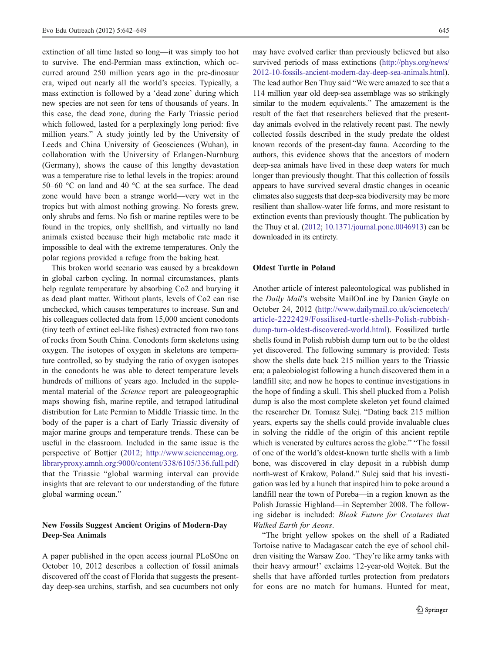extinction of all time lasted so long—it was simply too hot to survive. The end-Permian mass extinction, which occurred around 250 million years ago in the pre-dinosaur era, wiped out nearly all the world's species. Typically, a mass extinction is followed by a 'dead zone' during which new species are not seen for tens of thousands of years. In this case, the dead zone, during the Early Triassic period which followed, lasted for a perplexingly long period: five million years." A study jointly led by the University of Leeds and China University of Geosciences (Wuhan), in collaboration with the University of Erlangen-Nurnburg (Germany), shows the cause of this lengthy devastation was a temperature rise to lethal levels in the tropics: around 50–60 °C on land and 40 °C at the sea surface. The dead zone would have been a strange world—very wet in the tropics but with almost nothing growing. No forests grew, only shrubs and ferns. No fish or marine reptiles were to be found in the tropics, only shellfish, and virtually no land animals existed because their high metabolic rate made it impossible to deal with the extreme temperatures. Only the polar regions provided a refuge from the baking heat.

This broken world scenario was caused by a breakdown in global carbon cycling. In normal circumstances, plants help regulate temperature by absorbing Co2 and burying it as dead plant matter. Without plants, levels of Co2 can rise unchecked, which causes temperatures to increase. Sun and his colleagues collected data from 15,000 ancient conodonts (tiny teeth of extinct eel-like fishes) extracted from two tons of rocks from South China. Conodonts form skeletons using oxygen. The isotopes of oxygen in skeletons are temperature controlled, so by studying the ratio of oxygen isotopes in the conodonts he was able to detect temperature levels hundreds of millions of years ago. Included in the supplemental material of the Science report are paleogeographic maps showing fish, marine reptile, and tetrapod latitudinal distribution for Late Permian to Middle Triassic time. In the body of the paper is a chart of Early Triassic diversity of major marine groups and temperature trends. These can be useful in the classroom. Included in the same issue is the perspective of Bottjer [\(2012;](#page-6-0) [http://www.sciencemag.org.](http://www.sciencemag.org.libraryproxy.amnh.org:9000/content/338/6105/336.full.pdf) [libraryproxy.amnh.org:9000/content/338/6105/336.full.pdf\)](http://www.sciencemag.org.libraryproxy.amnh.org:9000/content/338/6105/336.full.pdf) that the Triassic "global warming interval can provide insights that are relevant to our understanding of the future global warming ocean."

#### New Fossils Suggest Ancient Origins of Modern-Day Deep-Sea Animals

A paper published in the open access journal PLoSOne on October 10, 2012 describes a collection of fossil animals discovered off the coast of Florida that suggests the presentday deep-sea urchins, starfish, and sea cucumbers not only may have evolved earlier than previously believed but also survived periods of mass extinctions ([http://phys.org/news/](http://phys.org/news/2012-10-fossils-ancient-modern-day-deep-sea-animals.html) [2012-10-fossils-ancient-modern-day-deep-sea-animals.html\)](http://phys.org/news/2012-10-fossils-ancient-modern-day-deep-sea-animals.html). The lead author Ben Thuy said "We were amazed to see that a 114 million year old deep-sea assemblage was so strikingly similar to the modern equivalents." The amazement is the result of the fact that researchers believed that the presentday animals evolved in the relatively recent past. The newly collected fossils described in the study predate the oldest known records of the present-day fauna. According to the authors, this evidence shows that the ancestors of modern deep-sea animals have lived in these deep waters for much longer than previously thought. That this collection of fossils appears to have survived several drastic changes in oceanic climates also suggests that deep-sea biodiversity may be more resilient than shallow-water life forms, and more resistant to extinction events than previously thought. The publication by the Thuy et al. ([2012](#page-7-0); [10.1371/journal.pone.0046913](http://dx.doi.org/10.1371/journal.pone.0046913)) can be downloaded in its entirety.

#### Oldest Turtle in Poland

Another article of interest paleontological was published in the Daily Mail's website MailOnLine by Danien Gayle on October 24, 2012 ([http://www.dailymail.co.uk/sciencetech/](http://www.dailymail.co.uk/sciencetech/article-2222429/Fossilised-turtle-shells-Polish-rubbish-dump-turn-oldest-discovered-world.html) [article-2222429/Fossilised-turtle-shells-Polish-rubbish](http://www.dailymail.co.uk/sciencetech/article-2222429/Fossilised-turtle-shells-Polish-rubbish-dump-turn-oldest-discovered-world.html)[dump-turn-oldest-discovered-world.html](http://www.dailymail.co.uk/sciencetech/article-2222429/Fossilised-turtle-shells-Polish-rubbish-dump-turn-oldest-discovered-world.html)). Fossilized turtle shells found in Polish rubbish dump turn out to be the oldest yet discovered. The following summary is provided: Tests show the shells date back 215 million years to the Triassic era; a paleobiologist following a hunch discovered them in a landfill site; and now he hopes to continue investigations in the hope of finding a skull. This shell plucked from a Polish dump is also the most complete skeleton yet found claimed the researcher Dr. Tomasz Sulej. "Dating back 215 million years, experts say the shells could provide invaluable clues in solving the riddle of the origin of this ancient reptile which is venerated by cultures across the globe." "The fossil of one of the world's oldest-known turtle shells with a limb bone, was discovered in clay deposit in a rubbish dump north-west of Krakow, Poland." Sulej said that his investigation was led by a hunch that inspired him to poke around a landfill near the town of Poreba—in a region known as the Polish Jurassic Highland—in September 2008. The following sidebar is included: Bleak Future for Creatures that Walked Earth for Aeons.

"The bright yellow spokes on the shell of a Radiated Tortoise native to Madagascar catch the eye of school children visiting the Warsaw Zoo. 'They're like army tanks with their heavy armour!' exclaims 12-year-old Wojtek. But the shells that have afforded turtles protection from predators for eons are no match for humans. Hunted for meat,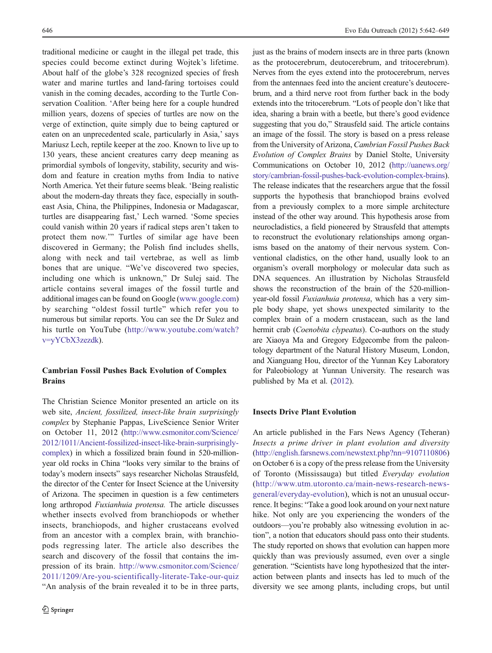traditional medicine or caught in the illegal pet trade, this species could become extinct during Wojtek's lifetime. About half of the globe's 328 recognized species of fresh water and marine turtles and land-faring tortoises could vanish in the coming decades, according to the Turtle Conservation Coalition. 'After being here for a couple hundred million years, dozens of species of turtles are now on the verge of extinction, quite simply due to being captured or eaten on an unprecedented scale, particularly in Asia,' says Mariusz Lech, reptile keeper at the zoo. Known to live up to 130 years, these ancient creatures carry deep meaning as primordial symbols of longevity, stability, security and wisdom and feature in creation myths from India to native North America. Yet their future seems bleak. 'Being realistic about the modern-day threats they face, especially in southeast Asia, China, the Philippines, Indonesia or Madagascar, turtles are disappearing fast,' Lech warned. 'Some species could vanish within 20 years if radical steps aren't taken to protect them now.'" Turtles of similar age have been discovered in Germany; the Polish find includes shells, along with neck and tail vertebrae, as well as limb bones that are unique. "We've discovered two species, including one which is unknown," Dr Sulej said. The article contains several images of the fossil turtle and additional images can be found on Google [\(www.google.com\)](http://www.google.com) by searching "oldest fossil turtle" which refer you to numerous but similar reports. You can see the Dr Sulez and his turtle on YouTube [\(http://www.youtube.com/watch?](http://www.youtube.com/watch?v=yYCbX3zezdk) [v](http://www.youtube.com/watch?v=yYCbX3zezdk)=[yYCbX3zezdk\)](http://www.youtube.com/watch?v=yYCbX3zezdk).

# Cambrian Fossil Pushes Back Evolution of Complex **Brains**

The Christian Science Monitor presented an article on its web site, Ancient, fossilized, insect-like brain surprisingly complex by Stephanie Pappas, LiveScience Senior Writer on October 11, 2012 [\(http://www.csmonitor.com/Science/](http://www.csmonitor.com/Science/2012/1011/Ancient-fossilized-insect-like-brain-surprisingly-complex) [2012/1011/Ancient-fossilized-insect-like-brain-surprisingly](http://www.csmonitor.com/Science/2012/1011/Ancient-fossilized-insect-like-brain-surprisingly-complex)[complex](http://www.csmonitor.com/Science/2012/1011/Ancient-fossilized-insect-like-brain-surprisingly-complex)) in which a fossilized brain found in 520-millionyear old rocks in China "looks very similar to the brains of today's modern insects" says researcher Nicholas Strausfeld, the director of the Center for Insect Science at the University of Arizona. The specimen in question is a few centimeters long arthropod Fuxianhuia protensa. The article discusses whether insects evolved from branchiopods or whether insects, branchiopods, and higher crustaceans evolved from an ancestor with a complex brain, with branchiopods regressing later. The article also describes the search and discovery of the fossil that contains the impression of its brain. [http://www.csmonitor.com/Science/](http://www.csmonitor.com/Science/2011/1209/Are-you-scientifically-literate-Take-our-quiz) [2011/1209/Are-you-scientifically-literate-Take-our-quiz](http://www.csmonitor.com/Science/2011/1209/Are-you-scientifically-literate-Take-our-quiz) "An analysis of the brain revealed it to be in three parts,

just as the brains of modern insects are in three parts (known) as the protocerebrum, deutocerebrum, and tritocerebrum). Nerves from the eyes extend into the protocerebrum, nerves from the antennaes feed into the ancient creature's deutocerebrum, and a third nerve root from further back in the body extends into the tritocerebrum. "Lots of people don't like that idea, sharing a brain with a beetle, but there's good evidence suggesting that you do," Strausfeld said. The article contains an image of the fossil. The story is based on a press release from the University of Arizona, Cambrian Fossil Pushes Back Evolution of Complex Brains by Daniel Stolte, University Communications on October 10, 2012 ([http://uanews.org/](http://uanews.org/story/cambrian-fossil-pushes-back-evolution-complex-brains) [story/cambrian-fossil-pushes-back-evolution-complex-brains\)](http://uanews.org/story/cambrian-fossil-pushes-back-evolution-complex-brains). The release indicates that the researchers argue that the fossil supports the hypothesis that branchiopod brains evolved from a previously complex to a more simple architecture instead of the other way around. This hypothesis arose from neurocladistics, a field pioneered by Strausfeld that attempts to reconstruct the evolutionary relationships among organisms based on the anatomy of their nervous system. Conventional cladistics, on the other hand, usually look to an organism's overall morphology or molecular data such as DNA sequences. An illustration by Nicholas Strausfeld shows the reconstruction of the brain of the 520-millionyear-old fossil Fuxianhuia protensa, which has a very simple body shape, yet shows unexpected similarity to the complex brain of a modern crustacean, such as the land hermit crab (Coenobita clypeatus). Co-authors on the study are Xiaoya Ma and Gregory Edgecombe from the paleontology department of the Natural History Museum, London, and Xianguang Hou, director of the Yunnan Key Laboratory for Paleobiology at Yunnan University. The research was published by Ma et al. [\(2012\)](#page-6-0).

## Insects Drive Plant Evolution

An article published in the Fars News Agency (Teheran) Insects a prime driver in plant evolution and diversity  $(htp://english.farsnews.com/newstext.php?nn=9107110806)$  $(htp://english.farsnews.com/newstext.php?nn=9107110806)$  $(htp://english.farsnews.com/newstext.php?nn=9107110806)$ on October 6 is a copy of the press release from the University of Toronto (Mississauga) but titled Everyday evolution ([http://www.utm.utoronto.ca/main-news-research-news](http://www.utm.utoronto.ca/main-news-research-news-general/everyday-evolution)[general/everyday-evolution](http://www.utm.utoronto.ca/main-news-research-news-general/everyday-evolution)), which is not an unusual occurrence. It begins: "Take a good look around on your next nature hike. Not only are you experiencing the wonders of the outdoors—you're probably also witnessing evolution in action", a notion that educators should pass onto their students. The study reported on shows that evolution can happen more quickly than was previously assumed, even over a single generation. "Scientists have long hypothesized that the interaction between plants and insects has led to much of the diversity we see among plants, including crops, but until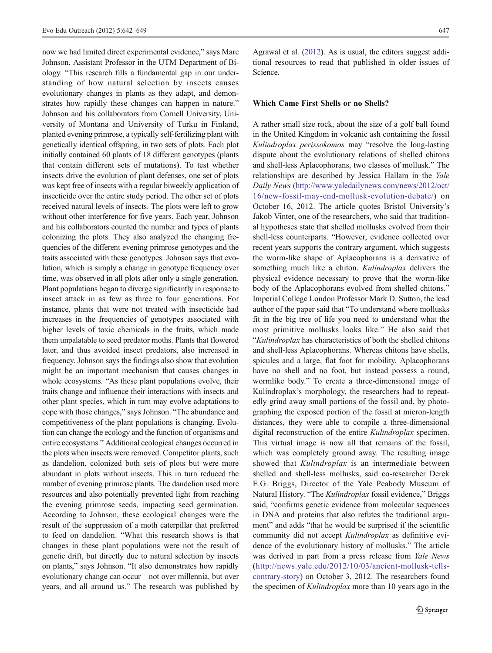now we had limited direct experimental evidence," says Marc Johnson, Assistant Professor in the UTM Department of Biology. "This research fills a fundamental gap in our understanding of how natural selection by insects causes evolutionary changes in plants as they adapt, and demonstrates how rapidly these changes can happen in nature." Johnson and his collaborators from Cornell University, University of Montana and University of Turku in Finland, planted evening primrose, a typically self-fertilizing plant with genetically identical offspring, in two sets of plots. Each plot initially contained 60 plants of 18 different genotypes (plants that contain different sets of mutations). To test whether insects drive the evolution of plant defenses, one set of plots was kept free of insects with a regular biweekly application of insecticide over the entire study period. The other set of plots received natural levels of insects. The plots were left to grow without other interference for five years. Each year, Johnson and his collaborators counted the number and types of plants colonizing the plots. They also analyzed the changing frequencies of the different evening primrose genotypes and the traits associated with these genotypes. Johnson says that evolution, which is simply a change in genotype frequency over time, was observed in all plots after only a single generation. Plant populations began to diverge significantly in response to insect attack in as few as three to four generations. For instance, plants that were not treated with insecticide had increases in the frequencies of genotypes associated with higher levels of toxic chemicals in the fruits, which made them unpalatable to seed predator moths. Plants that flowered later, and thus avoided insect predators, also increased in frequency. Johnson says the findings also show that evolution might be an important mechanism that causes changes in whole ecosystems. "As these plant populations evolve, their traits change and influence their interactions with insects and other plant species, which in turn may evolve adaptations to cope with those changes," says Johnson. "The abundance and competitiveness of the plant populations is changing. Evolution can change the ecology and the function of organisms and entire ecosystems." Additional ecological changes occurred in the plots when insects were removed. Competitor plants, such as dandelion, colonized both sets of plots but were more abundant in plots without insects. This in turn reduced the number of evening primrose plants. The dandelion used more resources and also potentially prevented light from reaching the evening primrose seeds, impacting seed germination. According to Johnson, these ecological changes were the result of the suppression of a moth caterpillar that preferred to feed on dandelion. "What this research shows is that changes in these plant populations were not the result of genetic drift, but directly due to natural selection by insects on plants," says Johnson. "It also demonstrates how rapidly evolutionary change can occur—not over millennia, but over years, and all around us." The research was published by

Agrawal et al. ([2012](#page-6-0)). As is usual, the editors suggest additional resources to read that published in older issues of Science.

#### Which Came First Shells or no Shells?

A rather small size rock, about the size of a golf ball found in the United Kingdom in volcanic ash containing the fossil Kulindroplax perissokomos may "resolve the long-lasting dispute about the evolutionary relations of shelled chitons and shell-less Aplacophorans, two classes of mollusk." The relationships are described by Jessica Hallam in the Yale Daily News ([http://www.yaledailynews.com/news/2012/oct/](http://www.yaledailynews.com/news/2012/oct/16/new-fossil-may-end-mollusk-evolution-debate/) [16/new-fossil-may-end-mollusk-evolution-debate/](http://www.yaledailynews.com/news/2012/oct/16/new-fossil-may-end-mollusk-evolution-debate/)) on October 16, 2012. The article quotes Bristol University's Jakob Vinter, one of the researchers, who said that traditional hypotheses state that shelled mollusks evolved from their shell-less counterparts. "However, evidence collected over recent years supports the contrary argument, which suggests the worm-like shape of Aplacophorans is a derivative of something much like a chiton. Kulindroplax delivers the physical evidence necessary to prove that the worm-like body of the Aplacophorans evolved from shelled chitons." Imperial College London Professor Mark D. Sutton, the lead author of the paper said that "To understand where mollusks fit in the big tree of life you need to understand what the most primitive mollusks looks like." He also said that "Kulindroplax has characteristics of both the shelled chitons and shell-less Aplacophorans. Whereas chitons have shells, spicules and a large, flat foot for mobility, Aplacophorans have no shell and no foot, but instead possess a round, wormlike body." To create a three-dimensional image of Kulindroplax's morphology, the researchers had to repeatedly grind away small portions of the fossil and, by photographing the exposed portion of the fossil at micron-length distances, they were able to compile a three-dimensional digital reconstruction of the entire Kulindroplax specimen. This virtual image is now all that remains of the fossil, which was completely ground away. The resulting image showed that Kulindroplax is an intermediate between shelled and shell-less mollusks, said co-researcher Derek E.G. Briggs, Director of the Yale Peabody Museum of Natural History. "The Kulindroplax fossil evidence," Briggs said, "confirms genetic evidence from molecular sequences in DNA and proteins that also refutes the traditional argument" and adds "that he would be surprised if the scientific community did not accept Kulindroplax as definitive evidence of the evolutionary history of mollusks." The article was derived in part from a press release from Yale News ([http://news.yale.edu/2012/10/03/ancient-mollusk-tells](http://news.yale.edu/2012/10/03/ancient-mollusk-tells-contrary-story)[contrary-story](http://news.yale.edu/2012/10/03/ancient-mollusk-tells-contrary-story)) on October 3, 2012. The researchers found the specimen of Kulindroplax more than 10 years ago in the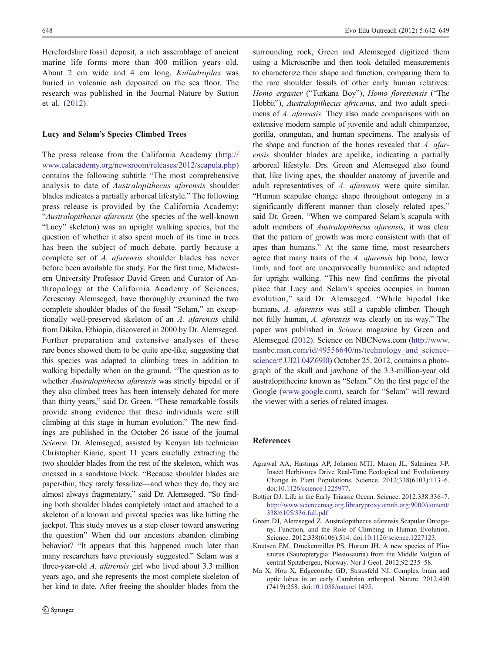<span id="page-6-0"></span>Herefordshire fossil deposit, a rich assemblage of ancient marine life forms more than 400 million years old. About 2 cm wide and 4 cm long, Kulindroplax was buried in volcanic ash deposited on the sea floor. The research was published in the Journal Nature by Sutton et al. [\(2012\)](#page-7-0).

#### Lucy and Selam's Species Climbed Trees

The press release from the California Academy ([http://](http://www.calacademy.org/newsroom/releases/2012/scapula.php) [www.calacademy.org/newsroom/releases/2012/scapula.php\)](http://www.calacademy.org/newsroom/releases/2012/scapula.php) contains the following subtitle "The most comprehensive analysis to date of Australopithecus afarensis shoulder blades indicates a partially arboreal lifestyle." The following press release is provided by the California Academy: "Australopithecus afarensis (the species of the well-known "Lucy" skeleton) was an upright walking species, but the question of whether it also spent much of its time in trees has been the subject of much debate, partly because a complete set of A. afarensis shoulder blades has never before been available for study. For the first time, Midwestern University Professor David Green and Curator of Anthropology at the California Academy of Sciences, Zeresenay Alemseged, have thoroughly examined the two complete shoulder blades of the fossil "Selam," an exceptionally well-preserved skeleton of an A. afarensis child from Dikika, Ethiopia, discovered in 2000 by Dr. Alemseged. Further preparation and extensive analyses of these rare bones showed them to be quite ape-like, suggesting that this species was adapted to climbing trees in addition to walking bipedally when on the ground. "The question as to whether *Australopithecus afarensis* was strictly bipedal or if they also climbed trees has been intensely debated for more than thirty years," said Dr. Green. "These remarkable fossils provide strong evidence that these individuals were still climbing at this stage in human evolution." The new findings are published in the October 26 issue of the journal Science. Dr. Alemseged, assisted by Kenyan lab technician Christopher Kiarie, spent 11 years carefully extracting the two shoulder blades from the rest of the skeleton, which was encased in a sandstone block. "Because shoulder blades are paper-thin, they rarely fossilize—and when they do, they are almost always fragmentary," said Dr. Alemseged. "So finding both shoulder blades completely intact and attached to a skeleton of a known and pivotal species was like hitting the jackpot. This study moves us a step closer toward answering the question" When did our ancestors abandon climbing behavior? "It appears that this happened much later than many researchers have previously suggested." Selam was a three-year-old A. afarensis girl who lived about 3.3 million years ago, and she represents the most complete skeleton of her kind to date. After freeing the shoulder blades from the

surrounding rock, Green and Alemseged digitized them using a Microscribe and then took detailed measurements to characterize their shape and function, comparing them to the rare shoulder fossils of other early human relatives: Homo ergaster ("Turkana Boy"), Homo floresiensis ("The Hobbit"), Australopithecus africanus, and two adult specimens of A. afarensis. They also made comparisons with an extensive modern sample of juvenile and adult chimpanzee, gorilla, orangutan, and human specimens. The analysis of the shape and function of the bones revealed that A. afarensis shoulder blades are apelike, indicating a partially arboreal lifestyle. Drs. Green and Alemseged also found that, like living apes, the shoulder anatomy of juvenile and adult representatives of A. afarensis were quite similar. "Human scapulae change shape throughout ontogeny in a significantly different manner than closely related apes," said Dr. Green. "When we compared Selam's scapula with adult members of Australopithecus afarensis, it was clear that the pattern of growth was more consistent with that of apes than humans." At the same time, most researchers agree that many traits of the A. afarensis hip bone, lower limb, and foot are unequivocally humanlike and adapted for upright walking. "This new find confirms the pivotal place that Lucy and Selam's species occupies in human evolution," said Dr. Alemseged. "While bipedal like humans, A. *afarensis* was still a capable climber. Though not fully human, A. afarensis was clearly on its way." The paper was published in Science magazine by Green and Alemseged (2012). Science on NBCNews.com [\(http://www.](http://www.msnbc.msn.com/id/49556640/ns/technology_and_science-science/#.UI2L04Z69I0) msnbc.msn.com/id/49556640/ns/technology and science[science/#.UI2L04Z69I0\)](http://www.msnbc.msn.com/id/49556640/ns/technology_and_science-science/#.UI2L04Z69I0) October 25, 2012, contains a photograph of the skull and jawbone of the 3.3-million-year old australopithecine known as "Selam." On the first page of the Google ([www.google.com](http://www.google.com)), search for "Selam" will reward the viewer with a series of related images.

#### References

- Agrawal AA, Hastings AP, Johnson MTJ, Maron JL, Salminen J-P. Insect Herbivores Drive Real-Time Ecological and Evolutionary Change in Plant Populations. Science. 2012;338(6103):113–6. doi[:10.1126/science.1225977](http://dx.doi.org/10.1126/science.1225977).
- Bottjer DJ. Life in the Early Triassic Ocean. Science. 2012;338:336–7. [http://www.sciencemag.org.libraryproxy.amnh.org:9000/content/](http://www.sciencemag.org.libraryproxy.amnh.org:9000/content/338/6105/336.full.pdf) [338/6105/336.full.pdf](http://www.sciencemag.org.libraryproxy.amnh.org:9000/content/338/6105/336.full.pdf)
- Green DJ, Alemseged Z. Australopithecus afarensis Scapular Ontogeny, Function, and the Role of Climbing in Human Evolution. Science. 2012;338(6106):514. doi:[10.1126/science.1227123.](http://dx.doi.org/10.1126/science.1227123)
- Knutsen EM, Druckenmiller PS, Hurum JH. A new species of Pliosaurus (Sauropterygia: Plesiosauria) from the Middle Volgian of central Spitzbergen, Norway. Nor J Geol. 2012;92:235–58.
- Ma X, Hou X, Edgecombe GD, Strausfeld NJ. Complex brain and optic lobes in an early Cambrian arthropod. Nature. 2012;490 (7419):258. doi[:10.1038/nature11495.](http://dx.doi.org/10.1038/nature11495)